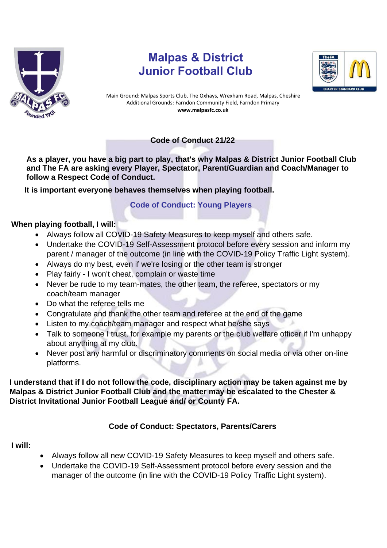

# **Malpas & District Junior Football Club**



Main Ground: Malpas Sports Club, The Oxhays, Wrexham Road, Malpas, Cheshire Additional Grounds: Farndon Community Field, Farndon Primary **www.malpasfc.co.uk** 

## **Code of Conduct 21/22**

**As a player, you have a big part to play, that's why Malpas & District Junior Football Club and The FA are asking every Player, Spectator, Parent/Guardian and Coach/Manager to follow a Respect Code of Conduct.** 

**It is important everyone behaves themselves when playing football.**

## **Code of Conduct: Young Players**

### **When playing football, I will:**

- Always follow all COVID-19 Safety Measures to keep myself and others safe.
- Undertake the COVID-19 Self-Assessment protocol before every session and inform my parent / manager of the outcome (in line with the COVID-19 Policy Traffic Light system).
- Always do my best, even if we're losing or the other team is stronger
- Play fairly I won't cheat, complain or waste time
- Never be rude to my team-mates, the other team, the referee, spectators or my coach/team manager
- Do what the referee tells me
- Congratulate and thank the other team and referee at the end of the game
- Listen to my coach/team manager and respect what he/she says
- Talk to someone I trust, for example my parents or the club welfare officer if I'm unhappy about anything at my club.
- Never post any harmful or discriminatory comments on social media or via other on-line platforms.

### **I understand that if I do not follow the code, disciplinary action may be taken against me by Malpas & District Junior Football Club and the matter may be escalated to the Chester & District Invitational Junior Football League and/ or County FA.**

## **Code of Conduct: Spectators, Parents/Carers**

### **I will:**

- Always follow all new COVID-19 Safety Measures to keep myself and others safe.
- Undertake the COVID-19 Self-Assessment protocol before every session and the manager of the outcome (in line with the COVID-19 Policy Traffic Light system).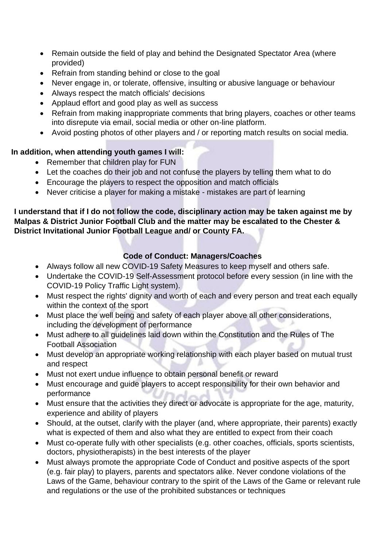- Remain outside the field of play and behind the Designated Spectator Area (where provided)
- Refrain from standing behind or close to the goal
- Never engage in, or tolerate, offensive, insulting or abusive language or behaviour
- Always respect the match officials' decisions
- Applaud effort and good play as well as success
- Refrain from making inappropriate comments that bring players, coaches or other teams into disrepute via email, social media or other on-line platform.
- Avoid posting photos of other players and / or reporting match results on social media.

### **In addition, when attending youth games I will:**

- Remember that children play for FUN
- Let the coaches do their job and not confuse the players by telling them what to do
- Encourage the players to respect the opposition and match officials
- Never criticise a player for making a mistake mistakes are part of learning

## **I understand that if I do not follow the code, disciplinary action may be taken against me by Malpas & District Junior Football Club and the matter may be escalated to the Chester & District Invitational Junior Football League and/ or County FA.**

## **Code of Conduct: Managers/Coaches**

- Always follow all new COVID-19 Safety Measures to keep myself and others safe.
- Undertake the COVID-19 Self-Assessment protocol before every session (in line with the COVID-19 Policy Traffic Light system).
- Must respect the rights' dignity and worth of each and every person and treat each equally within the context of the sport
- Must place the well being and safety of each player above all other considerations, including the development of performance
- Must adhere to all guidelines laid down within the Constitution and the Rules of The Football Association
- Must develop an appropriate working relationship with each player based on mutual trust and respect
- Must not exert undue influence to obtain personal benefit or reward
- Must encourage and guide players to accept responsibility for their own behavior and performance
- Must ensure that the activities they direct or advocate is appropriate for the age, maturity, experience and ability of players
- Should, at the outset, clarify with the player (and, where appropriate, their parents) exactly what is expected of them and also what they are entitled to expect from their coach
- Must co-operate fully with other specialists (e.g. other coaches, officials, sports scientists, doctors, physiotherapists) in the best interests of the player
- Must always promote the appropriate Code of Conduct and positive aspects of the sport (e.g. fair play) to players, parents and spectators alike. Never condone violations of the Laws of the Game, behaviour contrary to the spirit of the Laws of the Game or relevant rule and regulations or the use of the prohibited substances or techniques